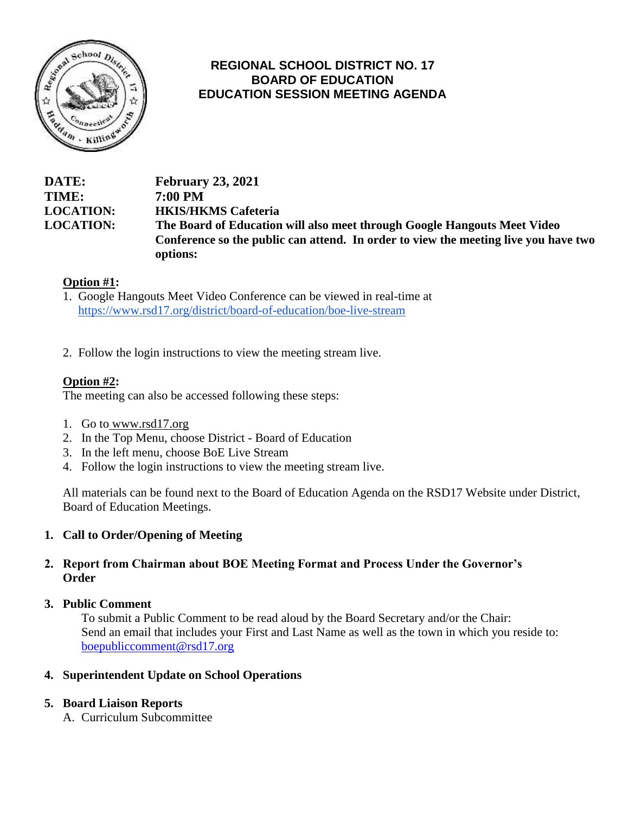

## **REGIONAL SCHOOL DISTRICT NO. 17 BOARD OF EDUCATION EDUCATION SESSION MEETING AGENDA**

#### **DATE: February 23, 2021 TIME: 7:00 PM LOCATION: HKIS/HKMS Cafeteria LOCATION: The Board of Education will also meet through Google Hangouts Meet Video Conference so the public can attend. In order to view the meeting live you have two options:**

## **Option #1:**

- 1. Google Hangouts Meet Video Conference can be viewed in real-time at https://www.rsd17.org/district/board-of-education/boe-live-stream
- 2. Follow the login instructions to view the meeting stream live.

## **Option #2:**

The meeting can also be accessed following these steps:

- 1. Go to [www.rsd17.org](http://www.rsd17.org/)
- 2. In the Top Menu, choose District Board of Education
- 3. In the left menu, choose BoE Live Stream
- 4. Follow the login instructions to view the meeting stream live.

All materials can be found next to the Board of Education Agenda on the RSD17 Website under District, Board of Education Meetings.

#### **1. Call to Order/Opening of Meeting**

#### **2. Report from Chairman about BOE Meeting Format and Process Under the Governor's Order**

#### **3. Public Comment**

To submit a Public Comment to be read aloud by the Board Secretary and/or the Chair: Send an email that includes your First and Last Name as well as the town in which you reside to: [boepubliccomment@rsd17.org](mailto:boepubliccomment@rsd17.org)

#### **4. Superintendent Update on School Operations**

#### **5. Board Liaison Reports**

A. Curriculum Subcommittee